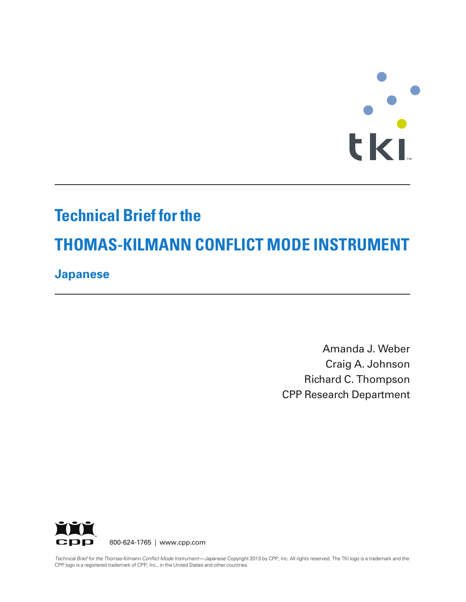# **T M**

# **Technical Brief for the**

# **THOMAS-KILMANN CONFLICT MODE INSTRUMENT**

## **Japanese**

Amanda J. Weber Craig A. Johnson Richard C. Thompson CPP Research Department



800-624-1765 | www.cpp.com

Technical Brief for the Thomas-Kilmann Conflict Mode Instrument—Japanese Copyright 2013 by CPP, Inc. All rights reserved. The TKI logo is a trademark and the CPP logo is a registered trademark of CPP, Inc., in the United States and other countries.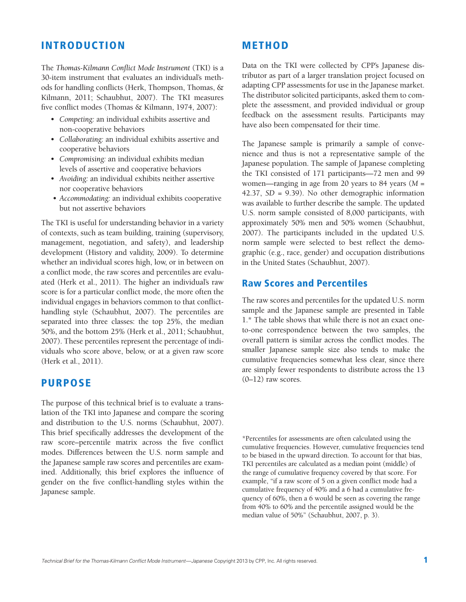#### INTRODUCTION

The *Thomas-Kilmann Conflict Mode Instrument* (TKI) is a 30-item instrument that evaluates an individual's methods for handling conflicts (Herk, Thompson, Thomas, & Kilmann, 2011; Schaubhut, 2007). The TKI measures five conflict modes (Thomas & Kilmann, 1974, 2007):

- *Competing:* an individual exhibits assertive and non-cooperative behaviors
- *Collaborating:* an individual exhibits assertive and cooperative behaviors
- *Compromising:* an individual exhibits median levels of assertive and cooperative behaviors
- *Avoiding:* an individual exhibits neither assertive nor cooperative behaviors
- *Accommodating:* an individual exhibits cooperative but not assertive behaviors

The TKI is useful for understanding behavior in a variety of contexts, such as team building, training (supervisory, management, negotiation, and safety), and leadership development (History and validity, 2009). To determine whether an individual scores high, low, or in between on a conflict mode, the raw scores and percentiles are evaluated (Herk et al., 2011). The higher an individual's raw score is for a particular conflict mode, the more often the individual engages in behaviors common to that conflicthandling style (Schaubhut, 2007). The percentiles are separated into three classes: the top 25%, the median 50%, and the bottom 25% (Herk et al., 2011; Schaubhut, 2007). These percentiles represent the percentage of individuals who score above, below, or at a given raw score (Herk et al., 2011).

#### PURPOSE

The purpose of this technical brief is to evaluate a translation of the TKI into Japanese and compare the scoring and distribution to the U.S. norms (Schaubhut, 2007). This brief specifically addresses the development of the raw score–percentile matrix across the five conflict modes. Differences between the U.S. norm sample and the Japanese sample raw scores and percentiles are examined. Additionally, this brief explores the influence of gender on the five conflict-handling styles within the Japanese sample.

#### METHOD

Data on the TKI were collected by CPP's Japanese distributor as part of a larger translation project focused on adapting CPP assessments for use in the Japanese market. The distributor solicited participants, asked them to complete the assessment, and provided individual or group feedback on the assessment results. Participants may have also been compensated for their time.

The Japanese sample is primarily a sample of convenience and thus is not a representative sample of the Japanese population. The sample of Japanese completing the TKI consisted of 171 participants—72 men and 99 women—ranging in age from 20 years to 84 years (*M* = 42.37, *SD* = 9.39). No other demographic information was available to further describe the sample. The updated U.S. norm sample consisted of 8,000 participants, with approximately 50% men and 50% women (Schaubhut, 2007). The participants included in the updated U.S. norm sample were selected to best reflect the demographic (e.g., race, gender) and occupation distributions in the United States (Schaubhut, 2007).

#### Raw Scores and Percentiles

The raw scores and percentiles for the updated U.S. norm sample and the Japanese sample are presented in Table 1.\* The table shows that while there is not an exact oneto-one correspondence between the two samples, the overall pattern is similar across the conflict modes. The smaller Japanese sample size also tends to make the cumulative frequencies somewhat less clear, since there are simply fewer respondents to distribute across the 13 (0–12) raw scores.

\*Percentiles for assessments are often calculated using the cumulative frequencies. However, cumulative frequencies tend to be biased in the upward direction. To account for that bias, TKI percentiles are calculated as a median point (middle) of the range of cumulative frequency covered by that score. For example, "if a raw score of 5 on a given conflict mode had a cumulative frequency of 40% and a 6 had a cumulative frequency of 60%, then a 6 would be seen as covering the range from 40% to 60% and the percentile assigned would be the median value of 50%" (Schaubhut, 2007, p. 3).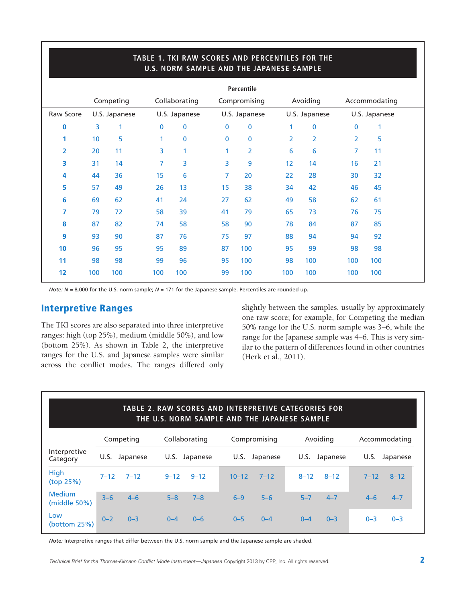|           |                 |               |               | U.S. NORM SAMPLE AND THE JAPANESE SAMPLE |             |                |     |               |              |               |  |
|-----------|-----------------|---------------|---------------|------------------------------------------|-------------|----------------|-----|---------------|--------------|---------------|--|
|           |                 |               |               |                                          |             | Percentile     |     |               |              |               |  |
|           |                 | Competing     |               | Collaborating                            |             | Compromising   |     | Avoiding      |              | Accommodating |  |
| Raw Score |                 | U.S. Japanese | U.S. Japanese |                                          |             | U.S. Japanese  |     | U.S. Japanese |              | U.S. Japanese |  |
| 0         | 3               | 1             | $\mathbf{0}$  | 0                                        | $\mathbf 0$ | $\mathbf 0$    | 1   | 0             | $\mathbf{0}$ | 1             |  |
| 1         | 10 <sub>1</sub> | 5             | 1             | 0                                        | $\bf{0}$    | $\mathbf 0$    | 2   | 2             | 2            | 5             |  |
| 2         | 20              | 11            | 3             | 1                                        | 1           | $\overline{2}$ | 6   | 6             | 7            | 11            |  |
| 3         | 31              | 14            | 7             | 3                                        | 3           | 9              | 12  | 14            | 16           | 21            |  |
| 4         | 44              | 36            | 15            | 6                                        | 7           | 20             | 22  | 28            | 30           | 32            |  |
| 5         | 57              | 49            | 26            | 13                                       | 15          | 38             | 34  | 42            | 46           | 45            |  |
| 6         | 69              | 62            | 41            | 24                                       | 27          | 62             | 49  | 58            | 62           | 61            |  |
| 7         | 79              | 72            | 58            | 39                                       | 41          | 79             | 65  | 73            | 76           | 75            |  |
| 8         | 87              | 82            | 74            | 58                                       | 58          | 90             | 78  | 84            | 87           | 85            |  |
| 9         | 93              | 90            | 87            | 76                                       | 75          | 97             | 88  | 94            | 94           | 92            |  |
| 10        | 96              | 95            | 95            | 89                                       | 87          | 100            | 95  | 99            | 98           | 98            |  |
| 11        | 98              | 98            | 99            | 96                                       | 95          | 100            | 98  | 100           | 100          | 100           |  |
| 12        | 100             | 100           | 100           | 100                                      | 99          | 100            | 100 | 100           | 100          | 100           |  |
|           |                 |               |               |                                          |             |                |     |               |              |               |  |

**TABLE 1. TKI RAW SCORES AND PERCENTILES FOR THE** 

*Note: N* = 8,000 for the U.S. norm sample; *N* = 171 for the Japanese sample. Percentiles are rounded up.

#### Interpretive Ranges

The TKI scores are also separated into three interpretive ranges: high (top 25%), medium (middle 50%), and low (bottom 25%). As shown in Table 2, the interpretive ranges for the U.S. and Japanese samples were similar across the conflict modes. The ranges differed only slightly between the samples, usually by approximately one raw score; for example, for Competing the median 50% range for the U.S. norm sample was 3–6, while the range for the Japanese sample was 4–6. This is very similar to the pattern of differences found in other countries (Herk et al., 2011).

| <b>TABLE 2. RAW SCORES AND INTERPRETIVE CATEGORIES FOR</b><br>THE U.S. NORM SAMPLE AND THE JAPANESE SAMPLE |           |               |              |               |               |  |  |  |
|------------------------------------------------------------------------------------------------------------|-----------|---------------|--------------|---------------|---------------|--|--|--|
|                                                                                                            | Competing | Collaborating | Compromising | Avoiding      | Accommodating |  |  |  |
| Interpretive                                                                                               | U.S.      | U.S.          | U.S.         | U.S. Japanese | U.S.          |  |  |  |
| Category                                                                                                   | Japanese  | Japanese      | Japanese     |               | Japanese      |  |  |  |
| <b>High</b>                                                                                                | $7 - 12$  | $9 - 12$      | $10 - 12$    | $8 - 12$      | $7 - 12$      |  |  |  |
| (top 25%)                                                                                                  | $7 - 12$  | $9 - 12$      | $7 - 12$     | $8 - 12$      | $8 - 12$      |  |  |  |
| <b>Medium</b>                                                                                              | $3 - 6$   | $5 - 8$       | $5-6$        | $5 - 7$       | $4 - 6$       |  |  |  |
| (middle $50\%$ )                                                                                           | $4 - 6$   | $7 - 8$       | $6 - 9$      | $4 - 7$       | $4 - 7$       |  |  |  |
| Low                                                                                                        | $0 - 2$   | $0 - 4$       | $0 - 5$      | $0 - 4$       | $0 - 3$       |  |  |  |
| (bottom $25\%$ )                                                                                           | $0 - 3$   | $0 - 6$       | $0 - 4$      | $0 - 3$       | $0 - 3$       |  |  |  |

*Note:* Interpretive ranges that differ between the U.S. norm sample and the Japanese sample are shaded.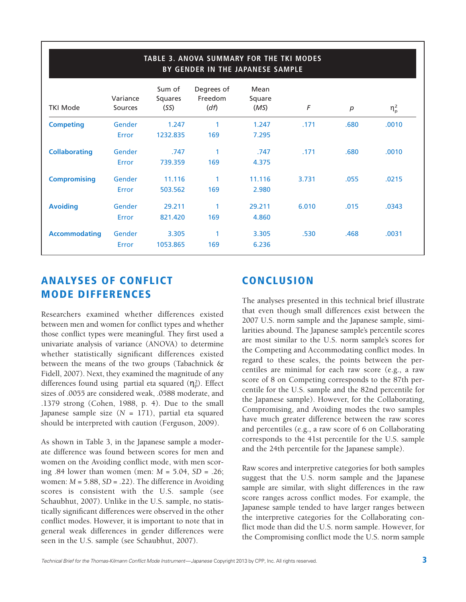| <b>TABLE 3. ANOVA SUMMARY FOR THE TKI MODES</b><br>BY GENDER IN THE JAPANESE SAMPLE |                     |                           |                               |                        |       |                  |                  |  |
|-------------------------------------------------------------------------------------|---------------------|---------------------------|-------------------------------|------------------------|-------|------------------|------------------|--|
| <b>TKI Mode</b>                                                                     | Variance<br>Sources | Sum of<br>Squares<br>(SS) | Degrees of<br>Freedom<br>(df) | Mean<br>Square<br>(MS) | F     | $\boldsymbol{p}$ | $\eta_{\rm p}^2$ |  |
| <b>Competing</b>                                                                    | Gender              | 1.247                     | 1                             | 1.247                  | .171  | .680             | .0010            |  |
|                                                                                     | Error               | 1232.835                  | 169                           | 7.295                  |       |                  |                  |  |
| <b>Collaborating</b>                                                                | Gender              | .747                      | 1                             | .747                   | .171  | .680             | .0010            |  |
|                                                                                     | Error               | 739.359                   | 169                           | 4.375                  |       |                  |                  |  |
| <b>Compromising</b>                                                                 | Gender              | 11.116                    | 1                             | 11.116                 | 3.731 | .055             | .0215            |  |
|                                                                                     | Error               | 503.562                   | 169                           | 2.980                  |       |                  |                  |  |
| <b>Avoiding</b>                                                                     | Gender              | 29.211                    | 1                             | 29.211                 | 6.010 | .015             | .0343            |  |
|                                                                                     | Error               | 821.420                   | 169                           | 4.860                  |       |                  |                  |  |
| <b>Accommodating</b>                                                                | Gender              | 3.305                     | 1                             | 3.305                  | .530  | .468             | .0031            |  |
|                                                                                     | Error               | 1053.865                  | 169                           | 6.236                  |       |                  |                  |  |

### ANALYSES OF CONFLICT MODE DIFFERENCES

Researchers examined whether differences existed between men and women for conflict types and whether those conflict types were meaningful. They first used a univariate analysis of variance (ANOVA) to determine whether statistically significant differences existed between the means of the two groups (Tabachnick & Fidell, 2007). Next, they examined the magnitude of any differences found using partial eta squared  $(\eta_P^2)$ . Effect sizes of .0055 are considered weak, .0588 moderate, and .1379 strong (Cohen, 1988, p. 4). Due to the small Japanese sample size (*N* = 171), partial eta squared should be interpreted with caution (Ferguson, 2009).

As shown in Table 3, in the Japanese sample a moderate difference was found between scores for men and women on the Avoiding conflict mode, with men scoring .84 lower than women (men: *M* = 5.04, *SD* = .26; women: *M* = 5.88, *SD* = .22). The difference in Avoiding scores is consistent with the U.S. sample (see Schaubhut, 2007). Unlike in the U.S. sample, no statistically significant differences were observed in the other conflict modes. However, it is important to note that in general weak differences in gender differences were seen in the U.S. sample (see Schaubhut, 2007).

## **CONCLUSION**

The analyses presented in this technical brief illustrate that even though small differences exist between the 2007 U.S. norm sample and the Japanese sample, similarities abound. The Japanese sample's percentile scores are most similar to the U.S. norm sample's scores for the Competing and Accommodating conflict modes. In regard to these scales, the points between the percentiles are minimal for each raw score (e.g., a raw score of 8 on Competing corresponds to the 87th percentile for the U.S. sample and the 82nd percentile for the Japanese sample). However, for the Collaborating, Compromising, and Avoiding modes the two samples have much greater difference between the raw scores and percentiles (e.g., a raw score of 6 on Collaborating corresponds to the 41st percentile for the U.S. sample and the 24th percentile for the Japanese sample).

Raw scores and interpretive categories for both samples suggest that the U.S. norm sample and the Japanese sample are similar, with slight differences in the raw score ranges across conflict modes. For example, the Japanese sample tended to have larger ranges between the interpretive categories for the Collaborating conflict mode than did the U.S. norm sample. However, for the Compromising conflict mode the U.S. norm sample